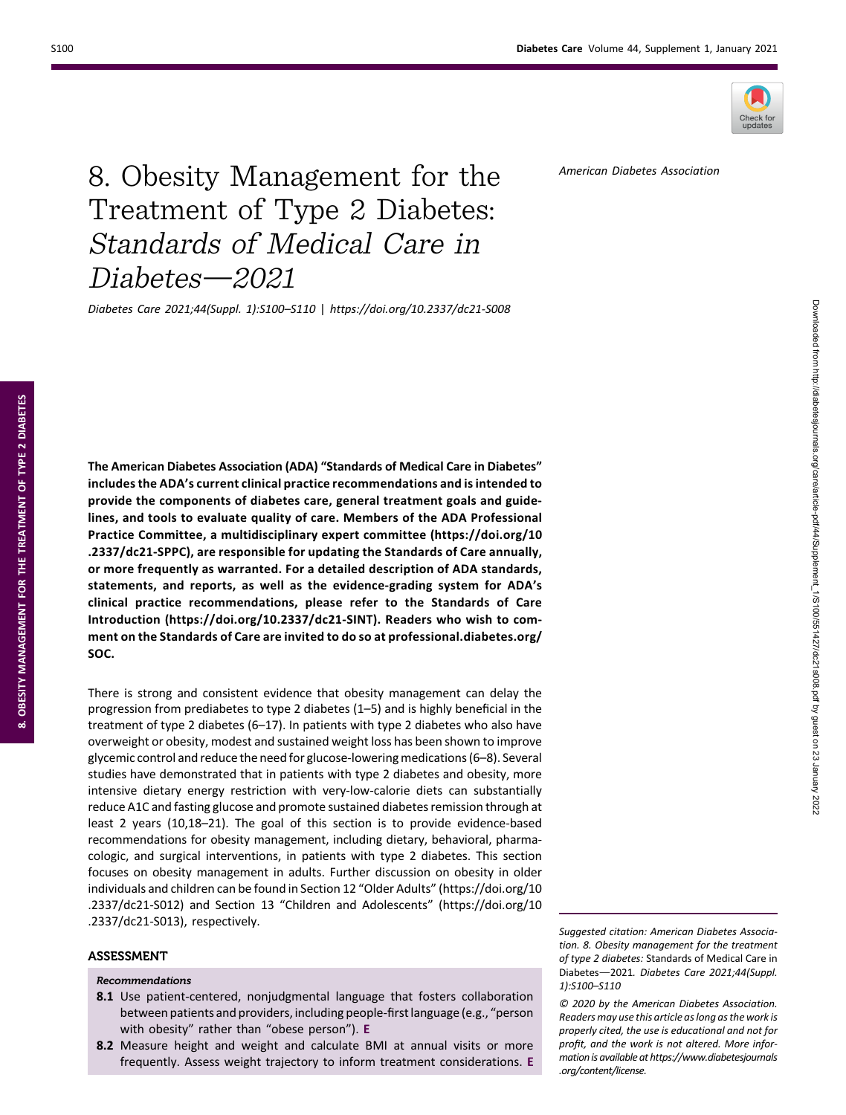

Downloaded from http://diabetesjournals.org/care/article-pdf/44/Supplement\_1/S100/561427/46214008.pdf by guest on 23 January 2022 Downloaded from http://diabetesjournals.org/care/article-pdf/44/Supplement\_1/S100/551427/dc21s008.pdf by guest on 23 January 2022

American Diabetes Association

# 8. Obesity Management for the Treatment of Type 2 Diabetes: Standards of Medical Care in Diabetes-2021

Diabetes Care 2021;44(Suppl. 1):S100–S110 | <https://doi.org/10.2337/dc21-S008>

The American Diabetes Association (ADA) "Standards of Medical Care in Diabetes" includes the ADA's current clinical practice recommendations and is intended to provide the components of diabetes care, general treatment goals and guidelines, and tools to evaluate quality of care. Members of the ADA Professional Practice Committee, a multidisciplinary expert committee ([https://doi.org/10](https://care.diabetesjournals.org/lookup/doi/10.2337/dc21-SPPC) [.2337/dc21-SPPC\)](https://care.diabetesjournals.org/lookup/doi/10.2337/dc21-SPPC), are responsible for updating the Standards of Care annually, or more frequently as warranted. For a detailed description of ADA standards, statements, and reports, as well as the evidence-grading system for ADA's clinical practice recommendations, please refer to the Standards of Care Introduction ([https://doi.org/10.2337/dc21-SINT\)](https://care.diabetesjournals.org/lookup/doi/10.2337/dc21-SINT). Readers who wish to comment on the Standards of Care are invited to do so at [professional.diabetes.org/](https://professional.diabetes.org/content-page/practice-guidelines-resources) [SOC](https://professional.diabetes.org/content-page/practice-guidelines-resources).

There is strong and consistent evidence that obesity management can delay the progression from prediabetes to type 2 diabetes (1–5) and is highly beneficial in the treatment of type 2 diabetes (6–17). In patients with type 2 diabetes who also have overweight or obesity, modest and sustained weight loss has been shown to improve glycemic control and reduce the need for glucose-lowering medications (6–8). Several studies have demonstrated that in patients with type 2 diabetes and obesity, more intensive dietary energy restriction with very-low-calorie diets can substantially reduce A1C and fasting glucose and promote sustained diabetes remission through at least 2 years (10,18–21). The goal of this section is to provide evidence-based recommendations for obesity management, including dietary, behavioral, pharmacologic, and surgical interventions, in patients with type 2 diabetes. This section focuses on obesity management in adults. Further discussion on obesity in older individuals and children can be found in Section 12 "Older Adults" ([https://doi.org/10](https://care.diabetesjournals.org/lookup/doi/10.2337/dc21-S012) [.2337/dc21-S012](https://care.diabetesjournals.org/lookup/doi/10.2337/dc21-S012)) and Section 13 "Children and Adolescents" ([https://doi.org/10](https://care.diabetesjournals.org/lookup/doi/10.2337/dc21-S013) [.2337/dc21-S013](https://care.diabetesjournals.org/lookup/doi/10.2337/dc21-S013)), respectively.

## ASSESSMENT

## Recommendations

- 8.1 Use patient-centered, nonjudgmental language that fosters collaboration between patients and providers, including people-first language (e.g., "person with obesity" rather than "obese person"). E
- 8.2 Measure height and weight and calculate BMI at annual visits or more frequently. Assess weight trajectory to inform treatment considerations. E

Suggested citation: American Diabetes Association. 8. Obesity management for the treatment of type 2 diabetes: Standards of Medical Care in Diabetes-2021. Diabetes Care 2021;44(Suppl. 1):S100–S110

© 2020 by the American Diabetes Association. Readers may use this article as long as the work is properly cited, the use is educational and not for profit, and the work is not altered. More information is available at [https://www.diabetesjournals](https://www.diabetesjournals.org/content/license) [.org/content/license](https://www.diabetesjournals.org/content/license).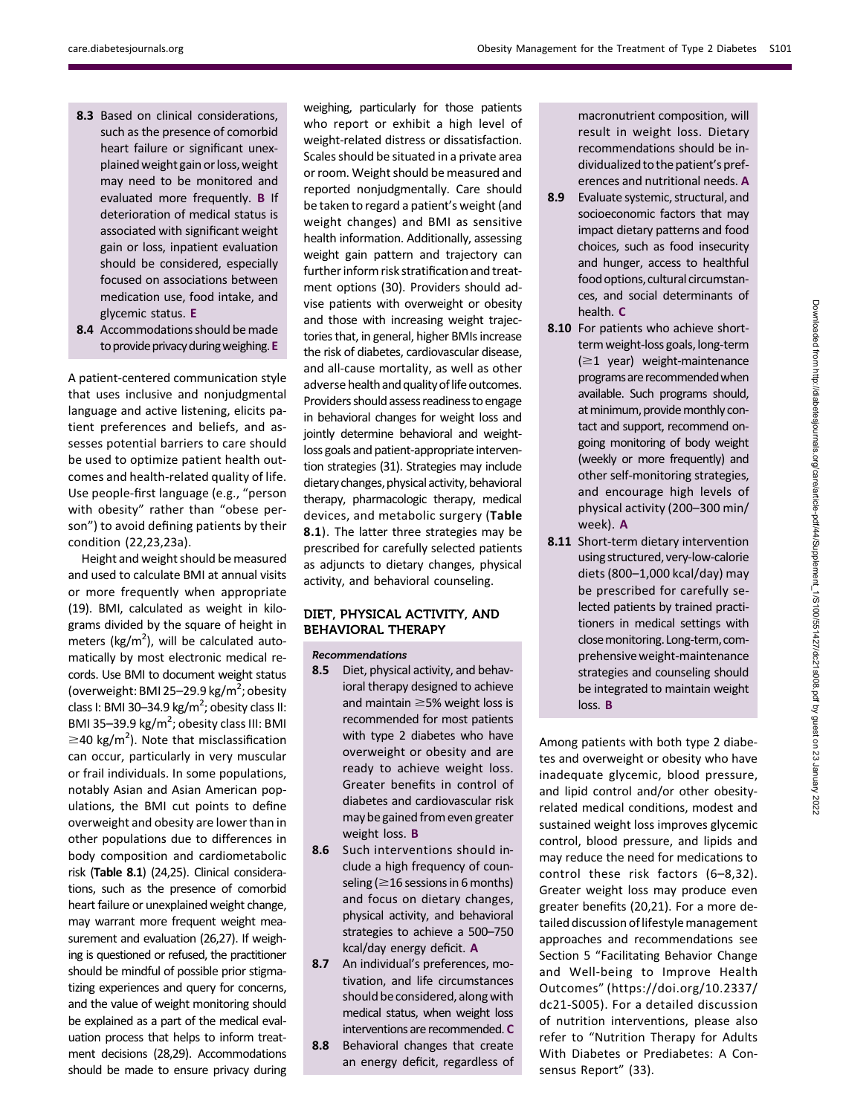- 8.3 Based on clinical considerations, such as the presence of comorbid heart failure or significant unexplained weight gain or loss, weight may need to be monitored and evaluated more frequently. B If deterioration of medical status is associated with significant weight gain or loss, inpatient evaluation should be considered, especially focused on associations between medication use, food intake, and glycemic status. E
- 8.4 Accommodations should be made to provide privacy during weighing. E

A patient-centered communication style that uses inclusive and nonjudgmental language and active listening, elicits patient preferences and beliefs, and assesses potential barriers to care should be used to optimize patient health outcomes and health-related quality of life. Use people-first language (e.g., "person with obesity" rather than "obese person") to avoid defining patients by their condition (22,23,23a).

Height and weight should be measured and used to calculate BMI at annual visits or more frequently when appropriate (19). BMI, calculated as weight in kilograms divided by the square of height in meters (kg/m<sup>2</sup>), will be calculated automatically by most electronic medical records. Use BMI to document weight status (overweight: BMI 25–29.9 kg/m<sup>2</sup>; obesity class I: BMI 30-34.9 kg/m<sup>2</sup>; obesity class II: BMI 35-39.9 kg/m<sup>2</sup>; obesity class III: BMI  $\geq$ 40 kg/m<sup>2</sup>). Note that misclassification can occur, particularly in very muscular or frail individuals. In some populations, notably Asian and Asian American populations, the BMI cut points to define overweight and obesity are lower than in other populations due to differences in body composition and cardiometabolic risk (Table 8.1) (24,25). Clinical considerations, such as the presence of comorbid heart failure or unexplained weight change, may warrant more frequent weight measurement and evaluation (26,27). If weighing is questioned or refused, the practitioner should be mindful of possible prior stigmatizing experiences and query for concerns, and the value of weight monitoring should be explained as a part of the medical evaluation process that helps to inform treatment decisions (28,29). Accommodations should be made to ensure privacy during

weighing, particularly for those patients who report or exhibit a high level of weight-related distress or dissatisfaction. Scales should be situated in a private area or room. Weight should be measured and reported nonjudgmentally. Care should be taken to regard a patient's weight (and weight changes) and BMI as sensitive health information. Additionally, assessing weight gain pattern and trajectory can further inform risk stratification and treatment options (30). Providers should advise patients with overweight or obesity and those with increasing weight trajectories that, in general, higher BMIs increase the risk of diabetes, cardiovascular disease, and all-cause mortality, as well as other adverse health and quality of life outcomes. Providers should assess readiness to engage in behavioral changes for weight loss and jointly determine behavioral and weightloss goals and patient-appropriate intervention strategies (31). Strategies may include dietary changes, physical activity, behavioral therapy, pharmacologic therapy, medical devices, and metabolic surgery (Table 8.1). The latter three strategies may be prescribed for carefully selected patients as adjuncts to dietary changes, physical activity, and behavioral counseling.

# DIET, PHYSICAL ACTIVITY, AND BEHAVIORAL THERAPY

#### Recommendations

- 8.5 Diet, physical activity, and behavioral therapy designed to achieve and maintain  $\geq$ 5% weight loss is recommended for most patients with type 2 diabetes who have overweight or obesity and are ready to achieve weight loss. Greater benefits in control of diabetes and cardiovascular risk may be gained from even greater weight loss. B
- 8.6 Such interventions should include a high frequency of counseling ( $\geq$ 16 sessions in 6 months) and focus on dietary changes, physical activity, and behavioral strategies to achieve a 500–750 kcal/day energy deficit. A
- 8.7 An individual's preferences, motivation, and life circumstances should be considered, along with medical status, when weight loss interventions are recommended. C
- 8.8 Behavioral changes that create an energy deficit, regardless of

macronutrient composition, will result in weight loss. Dietary recommendations should be individualized to the patient's preferences and nutritional needs. A

- 8.9 Evaluate systemic, structural, and socioeconomic factors that may impact dietary patterns and food choices, such as food insecurity and hunger, access to healthful food options, cultural circumstances, and social determinants of health. C
- 8.10 For patients who achieve shortterm weight-loss goals, long-term  $(\geq 1$  year) weight-maintenance programs are recommended when available. Such programs should, at minimum, provide monthly contact and support, recommend ongoing monitoring of body weight (weekly or more frequently) and other self-monitoring strategies, and encourage high levels of physical activity (200–300 min/ week). A
- 8.11 Short-term dietary intervention using structured, very-low-calorie diets (800–1,000 kcal/day) may be prescribed for carefully selected patients by trained practitioners in medical settings with close monitoring. Long-term, comprehensive weight-maintenance strategies and counseling should be integrated to maintain weight loss. B

Among patients with both type 2 diabetes and overweight or obesity who have inadequate glycemic, blood pressure, and lipid control and/or other obesityrelated medical conditions, modest and sustained weight loss improves glycemic control, blood pressure, and lipids and may reduce the need for medications to control these risk factors (6–8,32). Greater weight loss may produce even greater benefits (20,21). For a more detailed discussion of lifestyle management approaches and recommendations see Section 5 "Facilitating Behavior Change and Well-being to Improve Health Outcomes" [\(https://doi.org/10.2337/](https://care.diabetesjournals.org/lookup/doi/10.2337/dc21-S005) [dc21-S005](https://care.diabetesjournals.org/lookup/doi/10.2337/dc21-S005)). For a detailed discussion of nutrition interventions, please also refer to "Nutrition Therapy for Adults With Diabetes or Prediabetes: A Consensus Report" (33).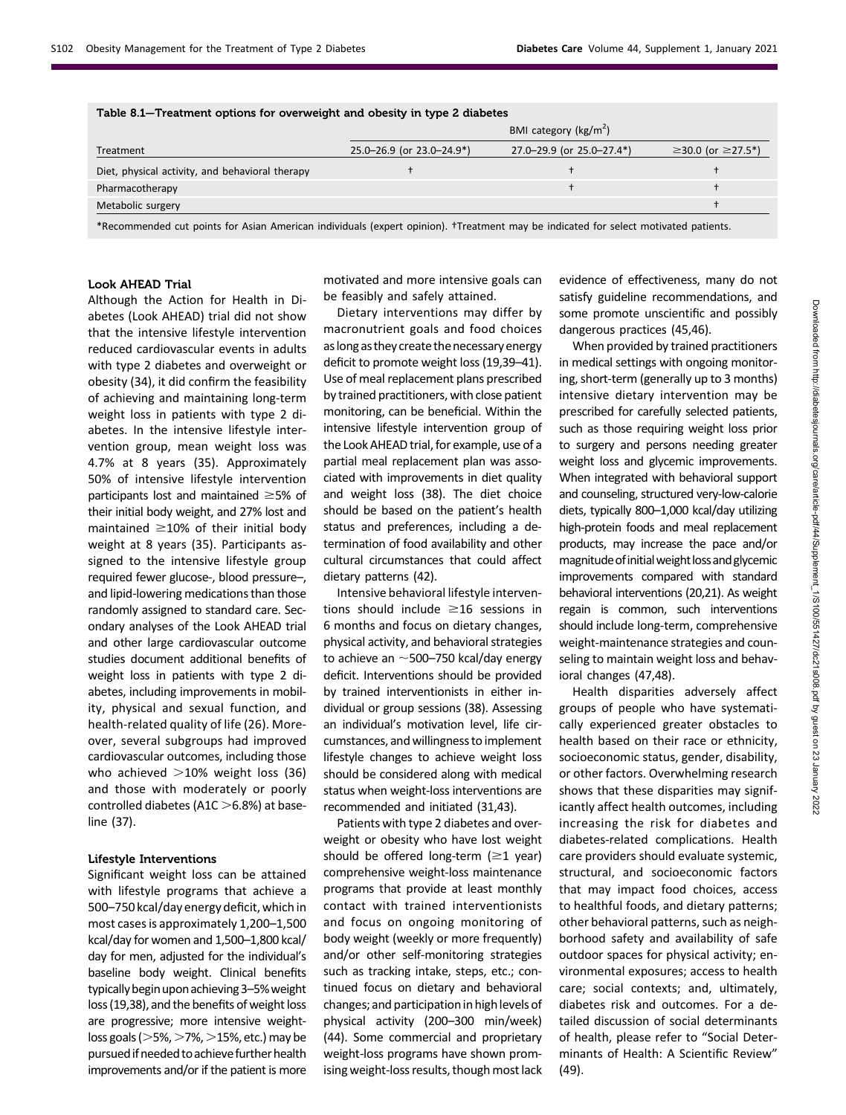| Table 8.1—Treatment options for overweight and obesity in type 2 diabetes |                           |                                  |                                            |  |  |  |  |  |
|---------------------------------------------------------------------------|---------------------------|----------------------------------|--------------------------------------------|--|--|--|--|--|
|                                                                           |                           | BMI category ( $\text{kg/m}^2$ ) |                                            |  |  |  |  |  |
| Treatment                                                                 | 25.0-26.9 (or 23.0-24.9*) | 27.0-29.9 (or 25.0-27.4*)        | $\geq$ 30.0 (or $\geq$ 27.5 <sup>*</sup> ) |  |  |  |  |  |
| Diet, physical activity, and behavioral therapy                           |                           |                                  |                                            |  |  |  |  |  |
| Pharmacotherapy                                                           |                           |                                  |                                            |  |  |  |  |  |
| Metabolic surgery                                                         |                           |                                  |                                            |  |  |  |  |  |
|                                                                           |                           |                                  |                                            |  |  |  |  |  |

Table 8.1—Treatment options for overweight and obesity in type 2 diabetes

\*Recommended cut points for Asian American individuals (expert opinion). †Treatment may be indicated for select motivated patients.

#### Look AHEAD Trial

Although the Action for Health in Diabetes (Look AHEAD) trial did not show that the intensive lifestyle intervention reduced cardiovascular events in adults with type 2 diabetes and overweight or obesity (34), it did confirm the feasibility of achieving and maintaining long-term weight loss in patients with type 2 diabetes. In the intensive lifestyle intervention group, mean weight loss was 4.7% at 8 years (35). Approximately 50% of intensive lifestyle intervention participants lost and maintained  $\geq$ 5% of their initial body weight, and 27% lost and maintained  $\geq$ 10% of their initial body weight at 8 years (35). Participants assigned to the intensive lifestyle group required fewer glucose-, blood pressure–, and lipid-lowering medications than those randomly assigned to standard care. Secondary analyses of the Look AHEAD trial and other large cardiovascular outcome studies document additional benefits of weight loss in patients with type 2 diabetes, including improvements in mobility, physical and sexual function, and health-related quality of life (26). Moreover, several subgroups had improved cardiovascular outcomes, including those who achieved  $>10\%$  weight loss (36) and those with moderately or poorly controlled diabetes (A1C  $>$  6.8%) at baseline (37).

## Lifestyle Interventions

Significant weight loss can be attained with lifestyle programs that achieve a 500–750 kcal/day energy deficit, which in most cases is approximately 1,200–1,500 kcal/day for women and 1,500–1,800 kcal/ day for men, adjusted for the individual's baseline body weight. Clinical benefits typicallybeginuponachieving 3–5%weight loss (19,38), and the benefits of weight loss are progressive; more intensive weight $loss$  goals ( $>5\%$ ,  $>7\%$ ,  $>15\%$ , etc.) may be pursuedif needed toachieve further health improvements and/or if the patient is more

motivated and more intensive goals can be feasibly and safely attained.

Dietary interventions may differ by macronutrient goals and food choices as long as they create the necessaryenergy deficit to promote weight loss (19,39–41). Use of meal replacement plans prescribed by trained practitioners, with close patient monitoring, can be beneficial. Within the intensive lifestyle intervention group of the Look AHEAD trial, for example, use of a partial meal replacement plan was associated with improvements in diet quality and weight loss (38). The diet choice should be based on the patient's health status and preferences, including a determination of food availability and other cultural circumstances that could affect dietary patterns (42).

Intensive behavioral lifestyle interventions should include  $\geq$ 16 sessions in 6 months and focus on dietary changes, physical activity, and behavioral strategies to achieve an  $\sim$ 500–750 kcal/day energy deficit. Interventions should be provided by trained interventionists in either individual or group sessions (38). Assessing an individual's motivation level, life circumstances, and willingness to implement lifestyle changes to achieve weight loss should be considered along with medical status when weight-loss interventions are recommended and initiated (31,43).

Patients with type 2 diabetes and overweight or obesity who have lost weight should be offered long-term  $(\geq 1$  year) comprehensive weight-loss maintenance programs that provide at least monthly contact with trained interventionists and focus on ongoing monitoring of body weight (weekly or more frequently) and/or other self-monitoring strategies such as tracking intake, steps, etc.; continued focus on dietary and behavioral changes; and participation in high levels of physical activity (200–300 min/week) (44). Some commercial and proprietary weight-loss programs have shown promising weight-loss results, though most lack

evidence of effectiveness, many do not satisfy guideline recommendations, and some promote unscientific and possibly dangerous practices (45,46).

When provided by trained practitioners in medical settings with ongoing monitoring, short-term (generally up to 3 months) intensive dietary intervention may be prescribed for carefully selected patients, such as those requiring weight loss prior to surgery and persons needing greater weight loss and glycemic improvements. When integrated with behavioral support and counseling, structured very-low-calorie diets, typically 800–1,000 kcal/day utilizing high-protein foods and meal replacement products, may increase the pace and/or magnitude of initial weight loss and glycemic improvements compared with standard behavioral interventions (20,21). As weight regain is common, such interventions should include long-term, comprehensive weight-maintenance strategies and counseling to maintain weight loss and behavioral changes (47,48).

Health disparities adversely affect groups of people who have systematically experienced greater obstacles to health based on their race or ethnicity, socioeconomic status, gender, disability, or other factors. Overwhelming research shows that these disparities may significantly affect health outcomes, including increasing the risk for diabetes and diabetes-related complications. Health care providers should evaluate systemic, structural, and socioeconomic factors that may impact food choices, access to healthful foods, and dietary patterns; other behavioral patterns, such as neighborhood safety and availability of safe outdoor spaces for physical activity; environmental exposures; access to health care; social contexts; and, ultimately, diabetes risk and outcomes. For a detailed discussion of social determinants of health, please refer to "Social Determinants of Health: A Scientific Review" (49).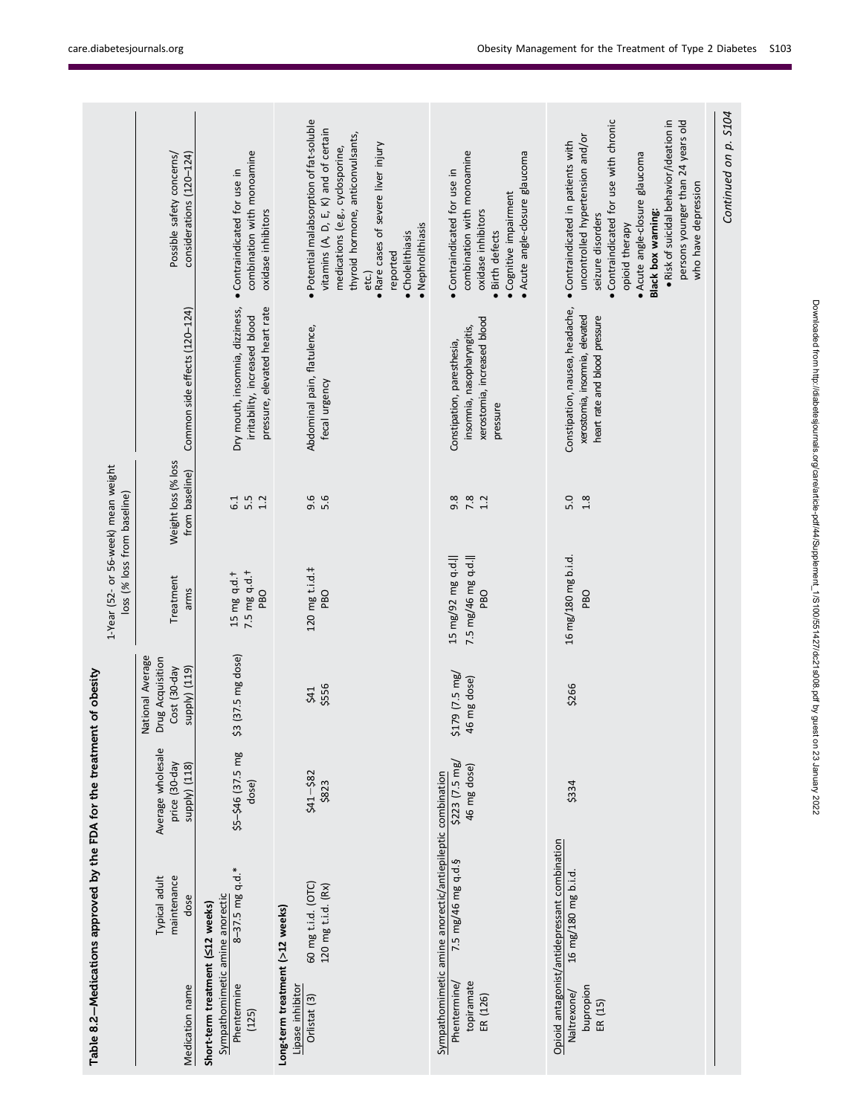|                                                                                             | Table 8.2-Medications approved by the FDA for the treatment of obesity          |                                                     |                                                                       |                                                            | 1-Year (52- or 56-week) mean weight                                  |                                                                                                     |                                                                                                                                                                                                                                                                                                                        |
|---------------------------------------------------------------------------------------------|---------------------------------------------------------------------------------|-----------------------------------------------------|-----------------------------------------------------------------------|------------------------------------------------------------|----------------------------------------------------------------------|-----------------------------------------------------------------------------------------------------|------------------------------------------------------------------------------------------------------------------------------------------------------------------------------------------------------------------------------------------------------------------------------------------------------------------------|
| Medication name                                                                             | maintenance<br>Typical adult<br>dose                                            | Average wholesale<br>price (30-day<br>supply) (118) | National Average<br>Drug Acquisition<br>Cost (30-day<br>supply) (119) | Treatment<br>arms                                          | Weight loss (% loss<br>from baseline)<br>loss (% loss from baseline) | Common side effects (120-124)                                                                       | Possible safety concerns/<br>considerations (120-124)                                                                                                                                                                                                                                                                  |
| Sympathomimetic amine anorectic<br>Short-term treatment (<12 weeks)<br>Phentermine<br>(125) | 8-37.5 mg q.d.*                                                                 | \$5-\$46 (37.5 mg<br>dose)                          | \$3 (37.5 mg dose)                                                    | 7.5 mg q.d. <sup>+</sup><br>15 mg q.d. <sup>+</sup><br>PBO | 6.1<br>5.5<br>1.2                                                    | Dry mouth, insomnia, dizziness,<br>pressure, elevated heart rate<br>irritability, increased blood   | combination with monoamine<br>• Contraindicated for use in<br>oxidase inhibitors                                                                                                                                                                                                                                       |
| Long-term treatment (>12 weeks)<br>Lipase inhibitor<br>Orlistat (3)                         | 60 mg t.i.d. (OTC)<br>120 mg t.i.d. (Rx)                                        | $$41 - $82$<br>\$823                                | \$556<br>\$41                                                         | 120 mg t.i.d.‡<br><b>PBO</b>                               | 9.6<br>5.6                                                           | Abdominal pain, flatulence,<br>fecal urgency                                                        | · Potential malabsorption of fat-soluble<br>vitamins (A, D, E, K) and of certain<br>thyroid hormone, anticonvulsants,<br>· Rare cases of severe liver injury<br>medications (e.g., cyclosporine,<br>· Nephrolithiasis<br>· Cholelithiasis<br>reported<br>etc.)                                                         |
| Phentermine/<br>topiramate<br>ER (126)                                                      | Sympathomimetic amine anorectic/antiepileptic combination<br>7.5 mg/46 mg q.d.§ | $$223$ $(7.5 \text{ mg})$<br>46 mg dose)            | $$179$ $(7.5 \, \text{mg})$<br>46 mg dose)                            | 15 mg/92 mg q.d.  <br>7.5 mg/46 mg q.d.  <br><b>PBO</b>    | 9.8<br>7.8<br>1.2                                                    | xerostomia, increased blood<br>insomnia, nasopharyngitis,<br>Constipation, paresthesia,<br>pressure | combination with monoamine<br>· Acute angle-closure glaucoma<br>• Contraindicated for use in<br><b>Cognitive impairment</b><br>oxidase inhibitors<br>· Birth defects                                                                                                                                                   |
| bupropion<br>Naltrexone/<br>ER (15)                                                         | Opioid antagonist/antidepressant combination<br>16 mg/180 mg b.i.d.             | \$334                                               | \$266                                                                 | 16 mg/180 mg b.i.d.<br><b>DBO</b>                          | 5.0<br>1.8                                                           | Constipation, nausea, headache,<br>xerostomia, insomnia, elevated<br>heart rate and blood pressure  | • Contraindicated for use with chronic<br>persons younger than 24 years old<br>· Risk of suicidal behavior/ideation in<br>uncontrolled hypertension and/or<br>• Contraindicated in patients with<br>· Acute angle-closure glaucoma<br>who have depression<br>Black box warning:<br>seizure disorders<br>opioid therapy |
|                                                                                             |                                                                                 |                                                     |                                                                       |                                                            |                                                                      |                                                                                                     | Continued on p. S104                                                                                                                                                                                                                                                                                                   |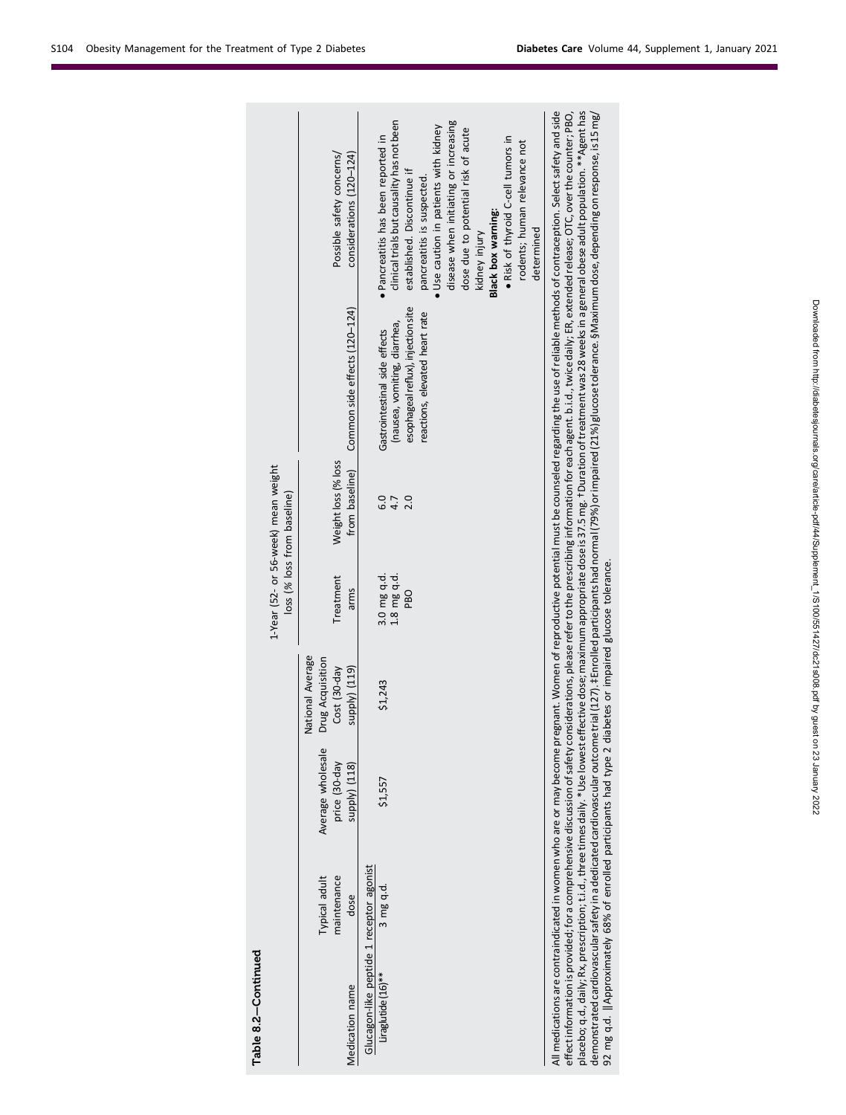|                     |                                                                    | Possible safety concerns/<br>considerations (120-124)                 | clinical trials but causality has not been<br>disease when initiating or increasing<br>· Use caution in patients with kidney<br>dose due to potential risk of acute<br>· Pancreatitis has been reported in<br>• Risk of thyroid C-cell tumors in<br>rodents; human relevance not<br>established. Discontinue if<br>pancreatitis is suspected.<br>Black box warning:<br>determined<br>kidney injury | All medications are contraindicated in women who are or may become pregnant. Women of reproductive potential must be counseled regarding the use of reliable methods of contraception. Select safety and side<br>placebo; q.d., daily; Rx, prescription; t.i.d., three times daily. * Use lowest effective dose; maximum appropriate dose is 37.5 mg. † Duration of treatment was 28 weeks in a general obese adult population. **Agent has<br>effect information is provided; for a comprehensive discussion of safety considerations, please refer to the prescribing information for each agent. b.i.d., twice daily; ER, extended release; OTC, over the counter; PBO,<br>demonstratedcardiovascular safety in adedicated cardiovascular outcome trial (127). ‡Enrolled participants had normal (79%) or impaired (21%) glucose tolerance. §Maximum dose, depending on response, is 15 mg/ |
|---------------------|--------------------------------------------------------------------|-----------------------------------------------------------------------|----------------------------------------------------------------------------------------------------------------------------------------------------------------------------------------------------------------------------------------------------------------------------------------------------------------------------------------------------------------------------------------------------|------------------------------------------------------------------------------------------------------------------------------------------------------------------------------------------------------------------------------------------------------------------------------------------------------------------------------------------------------------------------------------------------------------------------------------------------------------------------------------------------------------------------------------------------------------------------------------------------------------------------------------------------------------------------------------------------------------------------------------------------------------------------------------------------------------------------------------------------------------------------------------------------|
|                     |                                                                    | Common side effects (120-124)                                         | esophageal reflux), injection site<br>reactions, elevated heart rate<br>(nausea, vomiting, diarrhea,<br>Gastrointestinal side effects                                                                                                                                                                                                                                                              |                                                                                                                                                                                                                                                                                                                                                                                                                                                                                                                                                                                                                                                                                                                                                                                                                                                                                                |
|                     | 1-Year (52- or 56-week) mean weight<br>loss (% loss from baseline) | Weight loss (% loss<br>from baseline)                                 | 6.7<br>4.7<br>2.0                                                                                                                                                                                                                                                                                                                                                                                  |                                                                                                                                                                                                                                                                                                                                                                                                                                                                                                                                                                                                                                                                                                                                                                                                                                                                                                |
|                     |                                                                    | Treatment<br>arms                                                     | 3.0 mg q.d.<br>1.8 mg q.d.<br>PBO                                                                                                                                                                                                                                                                                                                                                                  |                                                                                                                                                                                                                                                                                                                                                                                                                                                                                                                                                                                                                                                                                                                                                                                                                                                                                                |
|                     |                                                                    | National Average<br>Drug Acquisition<br>Cost (30-day<br>(611) (Viddns | \$1,243                                                                                                                                                                                                                                                                                                                                                                                            | diabetes or impaired glucose tolerance.                                                                                                                                                                                                                                                                                                                                                                                                                                                                                                                                                                                                                                                                                                                                                                                                                                                        |
|                     |                                                                    | Average wholesale<br>price (30-day<br>supply) (118)                   | \$1,557                                                                                                                                                                                                                                                                                                                                                                                            |                                                                                                                                                                                                                                                                                                                                                                                                                                                                                                                                                                                                                                                                                                                                                                                                                                                                                                |
|                     |                                                                    | Typical adult<br>maintenance<br>dose                                  | 3 mg q.d.                                                                                                                                                                                                                                                                                                                                                                                          |                                                                                                                                                                                                                                                                                                                                                                                                                                                                                                                                                                                                                                                                                                                                                                                                                                                                                                |
| Table 8.2-Continued |                                                                    | Medication name                                                       | Glucagon-like peptide 1 receptor agonist<br>Liraglutide (16)**                                                                                                                                                                                                                                                                                                                                     | 92 mg q.d.   Approximately 68% of enrolled participants had type 2                                                                                                                                                                                                                                                                                                                                                                                                                                                                                                                                                                                                                                                                                                                                                                                                                             |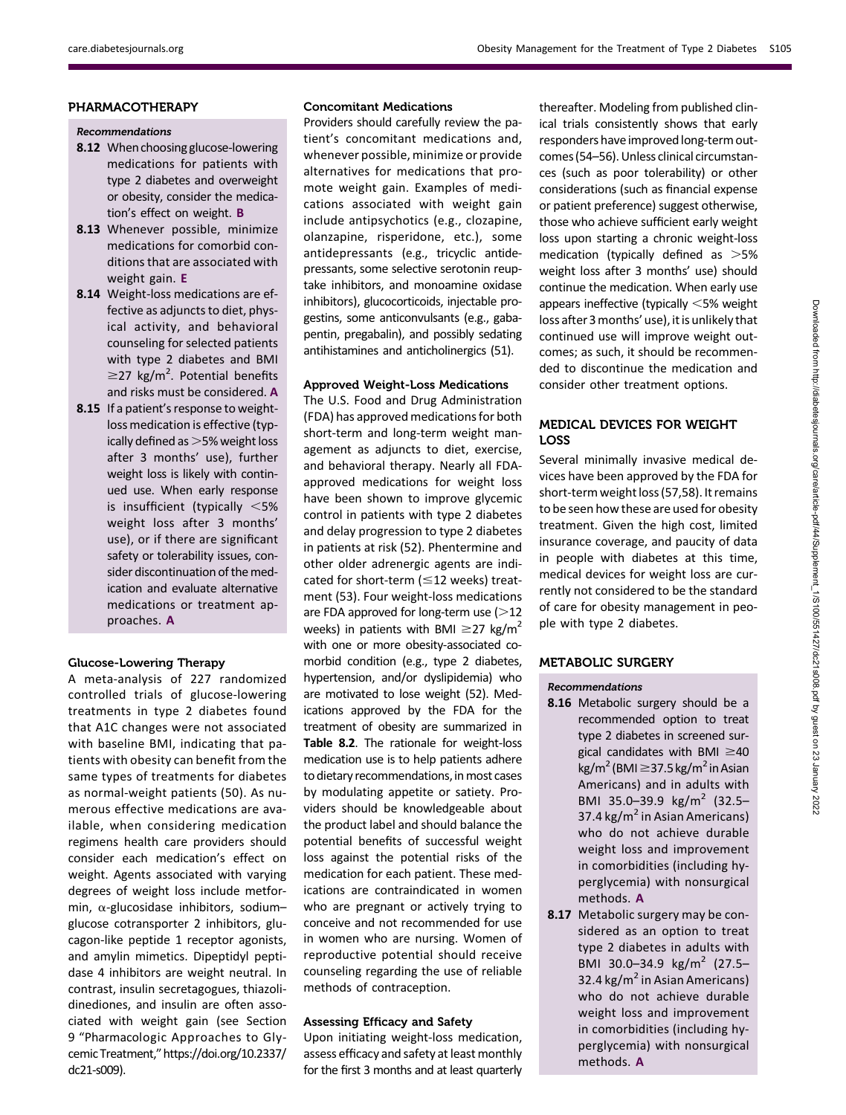# PHARMACOTHERAPY

#### Recommendations

- 8.12 When choosing glucose-lowering medications for patients with type 2 diabetes and overweight or obesity, consider the medication's effect on weight. B
- 8.13 Whenever possible, minimize medications for comorbid conditions that are associated with weight gain. E
- 8.14 Weight-loss medications are effective as adjuncts to diet, physical activity, and behavioral counseling for selected patients with type 2 diabetes and BMI  $\geq$ 27 kg/m<sup>2</sup>. Potential benefits and risks must be considered. A
- 8.15 If a patient's response to weightloss medication is effective (typically defined as  $>5%$  weight loss after 3 months' use), further weight loss is likely with continued use. When early response is insufficient (typically  $<$ 5% weight loss after 3 months' use), or if there are significant safety or tolerability issues, consider discontinuation of the medication and evaluate alternative medications or treatment approaches. A

## Glucose-Lowering Therapy

A meta-analysis of 227 randomized controlled trials of glucose-lowering treatments in type 2 diabetes found that A1C changes were not associated with baseline BMI, indicating that patients with obesity can benefit from the same types of treatments for diabetes as normal-weight patients (50). As numerous effective medications are available, when considering medication regimens health care providers should consider each medication's effect on weight. Agents associated with varying degrees of weight loss include metformin,  $\alpha$ -glucosidase inhibitors, sodiumglucose cotransporter 2 inhibitors, glucagon-like peptide 1 receptor agonists, and amylin mimetics. Dipeptidyl peptidase 4 inhibitors are weight neutral. In contrast, insulin secretagogues, thiazolidinediones, and insulin are often associated with weight gain (see Section 9 "Pharmacologic Approaches to Glycemic Treatment,"[https://doi.org/10.2337/](https://care.diabetesjournals.org/lookup/doi/10.2337/dc21-s009) [dc21-s009\)](https://care.diabetesjournals.org/lookup/doi/10.2337/dc21-s009).

## Concomitant Medications

Providers should carefully review the patient's concomitant medications and, whenever possible, minimize or provide alternatives for medications that promote weight gain. Examples of medications associated with weight gain include antipsychotics (e.g., clozapine, olanzapine, risperidone, etc.), some antidepressants (e.g., tricyclic antidepressants, some selective serotonin reuptake inhibitors, and monoamine oxidase inhibitors), glucocorticoids, injectable progestins, some anticonvulsants (e.g., gabapentin, pregabalin), and possibly sedating antihistamines and anticholinergics (51).

#### Approved Weight-Loss Medications

The U.S. Food and Drug Administration (FDA) has approved medications for both short-term and long-term weight management as adjuncts to diet, exercise, and behavioral therapy. Nearly all FDAapproved medications for weight loss have been shown to improve glycemic control in patients with type 2 diabetes and delay progression to type 2 diabetes in patients at risk (52). Phentermine and other older adrenergic agents are indicated for short-term ( $\leq$ 12 weeks) treatment (53). Four weight-loss medications are FDA approved for long-term use  $(>12$ weeks) in patients with BMI  $\geq$ 27 kg/m<sup>2</sup> with one or more obesity-associated comorbid condition (e.g., type 2 diabetes, hypertension, and/or dyslipidemia) who are motivated to lose weight (52). Medications approved by the FDA for the treatment of obesity are summarized in Table 8.2. The rationale for weight-loss medication use is to help patients adhere to dietary recommendations, in most cases by modulating appetite or satiety. Providers should be knowledgeable about the product label and should balance the potential benefits of successful weight loss against the potential risks of the medication for each patient. These medications are contraindicated in women who are pregnant or actively trying to conceive and not recommended for use in women who are nursing. Women of reproductive potential should receive counseling regarding the use of reliable methods of contraception.

## Assessing Efficacy and Safety

Upon initiating weight-loss medication, assess efficacy and safety at least monthly for the first 3 months and at least quarterly thereafter. Modeling from published clinical trials consistently shows that early responders have improved long-term outcomes (54–56). Unless clinical circumstances (such as poor tolerability) or other considerations (such as financial expense or patient preference) suggest otherwise, those who achieve sufficient early weight loss upon starting a chronic weight-loss medication (typically defined as  $>5\%$ weight loss after 3 months' use) should continue the medication. When early use appears ineffective (typically  $\leq$ 5% weight loss after 3 months' use), it is unlikely that continued use will improve weight outcomes; as such, it should be recommended to discontinue the medication and consider other treatment options.

# MEDICAL DEVICES FOR WEIGHT LOSS

Several minimally invasive medical devices have been approved by the FDA for short-term weight loss (57,58). It remains to be seen how these are used for obesity treatment. Given the high cost, limited insurance coverage, and paucity of data in people with diabetes at this time, medical devices for weight loss are currently not considered to be the standard of care for obesity management in people with type 2 diabetes.

## METABOLIC SURGERY

#### Recommendations

- 8.16 Metabolic surgery should be a recommended option to treat type 2 diabetes in screened surgical candidates with BMI  $\geq$ 40  $\text{kg/m}^2 \text{(BMI)} \geq 37.5 \text{ kg/m}^2$  in Asian Americans) and in adults with BMI 35.0-39.9 kg/m<sup>2</sup> (32.5-37.4 kg/m<sup>2</sup> in Asian Americans) who do not achieve durable weight loss and improvement in comorbidities (including hyperglycemia) with nonsurgical methods. A
- 8.17 Metabolic surgery may be considered as an option to treat type 2 diabetes in adults with BMI 30.0-34.9 kg/m<sup>2</sup> (27.5-32.4 kg/m<sup>2</sup> in Asian Americans) who do not achieve durable weight loss and improvement in comorbidities (including hyperglycemia) with nonsurgical methods. A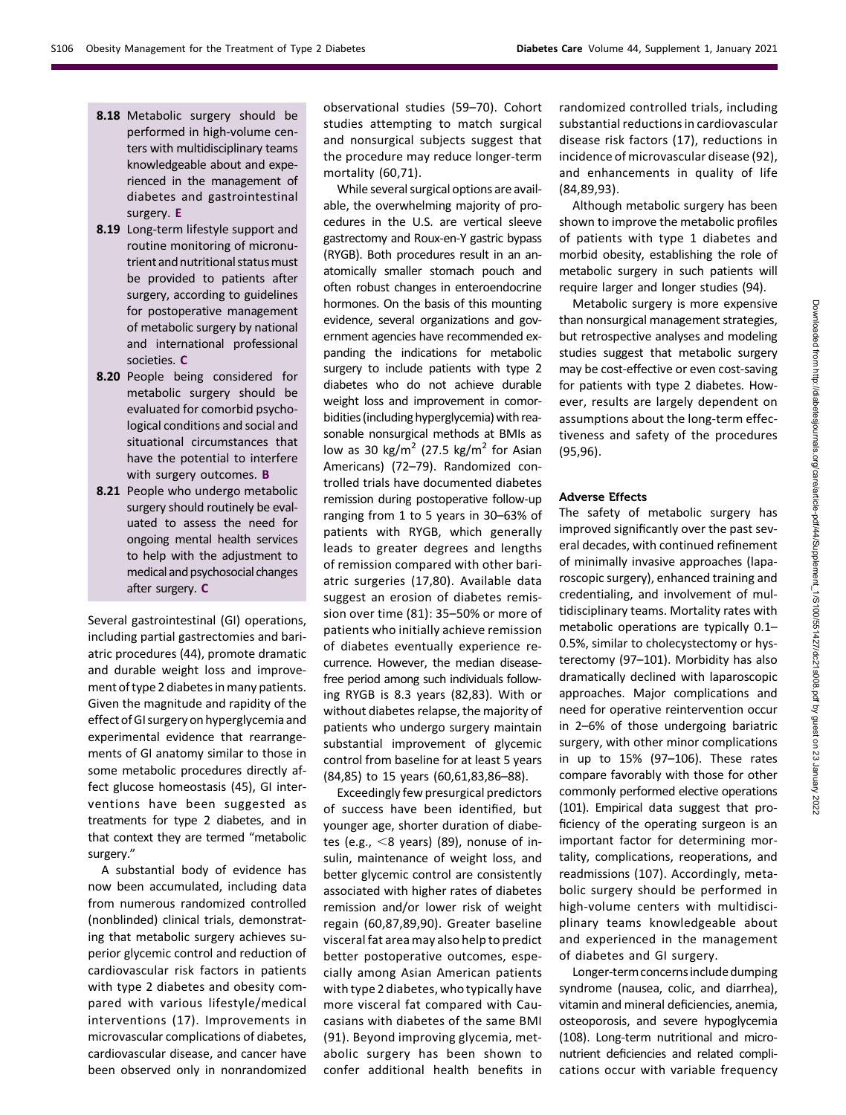- 8.18 Metabolic surgery should be performed in high-volume centers with multidisciplinary teams knowledgeable about and experienced in the management of diabetes and gastrointestinal surgery. E
- 8.19 Long-term lifestyle support and routine monitoring of micronutrient and nutritional statusmust be provided to patients after surgery, according to guidelines for postoperative management of metabolic surgery by national and international professional societies. C
- 8.20 People being considered for metabolic surgery should be evaluated for comorbid psychological conditions and social and situational circumstances that have the potential to interfere with surgery outcomes. **B**
- 8.21 People who undergo metabolic surgery should routinely be evaluated to assess the need for ongoing mental health services to help with the adjustment to medical and psychosocial changes after surgery. C

Several gastrointestinal (GI) operations, including partial gastrectomies and bariatric procedures (44), promote dramatic and durable weight loss and improvement of type 2 diabetes in many patients. Given the magnitude and rapidity of the effect of GI surgery on hyperglycemia and experimental evidence that rearrangements of GI anatomy similar to those in some metabolic procedures directly affect glucose homeostasis (45), GI interventions have been suggested as treatments for type 2 diabetes, and in that context they are termed "metabolic surgery."

A substantial body of evidence has now been accumulated, including data from numerous randomized controlled (nonblinded) clinical trials, demonstrating that metabolic surgery achieves superior glycemic control and reduction of cardiovascular risk factors in patients with type 2 diabetes and obesity compared with various lifestyle/medical interventions (17). Improvements in microvascular complications of diabetes, cardiovascular disease, and cancer have been observed only in nonrandomized

observational studies (59–70). Cohort studies attempting to match surgical and nonsurgical subjects suggest that the procedure may reduce longer-term mortality (60,71).

While several surgical options are available, the overwhelming majority of procedures in the U.S. are vertical sleeve gastrectomy and Roux-en-Y gastric bypass (RYGB). Both procedures result in an anatomically smaller stomach pouch and often robust changes in enteroendocrine hormones. On the basis of this mounting evidence, several organizations and government agencies have recommended expanding the indications for metabolic surgery to include patients with type 2 diabetes who do not achieve durable weight loss and improvement in comorbidities (including hyperglycemia) with reasonable nonsurgical methods at BMIs as low as 30 kg/m<sup>2</sup> (27.5 kg/m<sup>2</sup> for Asian Americans) (72–79). Randomized controlled trials have documented diabetes remission during postoperative follow-up ranging from 1 to 5 years in 30–63% of patients with RYGB, which generally leads to greater degrees and lengths of remission compared with other bariatric surgeries (17,80). Available data suggest an erosion of diabetes remission over time (81): 35–50% or more of patients who initially achieve remission of diabetes eventually experience recurrence. However, the median diseasefree period among such individuals following RYGB is 8.3 years (82,83). With or without diabetes relapse, the majority of patients who undergo surgery maintain substantial improvement of glycemic control from baseline for at least 5 years (84,85) to 15 years (60,61,83,86–88).

Exceedingly few presurgical predictors of success have been identified, but younger age, shorter duration of diabetes (e.g.,  $<$ 8 years) (89), nonuse of insulin, maintenance of weight loss, and better glycemic control are consistently associated with higher rates of diabetes remission and/or lower risk of weight regain (60,87,89,90). Greater baseline visceral fat area may also help to predict better postoperative outcomes, especially among Asian American patients with type 2 diabetes, who typically have more visceral fat compared with Caucasians with diabetes of the same BMI (91). Beyond improving glycemia, metabolic surgery has been shown to confer additional health benefits in

randomized controlled trials, including substantial reductions in cardiovascular disease risk factors (17), reductions in incidence of microvascular disease (92), and enhancements in quality of life (84,89,93).

Although metabolic surgery has been shown to improve the metabolic profiles of patients with type 1 diabetes and morbid obesity, establishing the role of metabolic surgery in such patients will require larger and longer studies (94).

Metabolic surgery is more expensive than nonsurgical management strategies, but retrospective analyses and modeling studies suggest that metabolic surgery may be cost-effective or even cost-saving for patients with type 2 diabetes. However, results are largely dependent on assumptions about the long-term effectiveness and safety of the procedures (95,96).

#### Adverse Effects

The safety of metabolic surgery has improved significantly over the past several decades, with continued refinement of minimally invasive approaches (laparoscopic surgery), enhanced training and credentialing, and involvement of multidisciplinary teams. Mortality rates with metabolic operations are typically 0.1– 0.5%, similar to cholecystectomy or hysterectomy (97–101). Morbidity has also dramatically declined with laparoscopic approaches. Major complications and need for operative reintervention occur in 2–6% of those undergoing bariatric surgery, with other minor complications in up to 15% (97–106). These rates compare favorably with those for other commonly performed elective operations (101). Empirical data suggest that proficiency of the operating surgeon is an important factor for determining mortality, complications, reoperations, and readmissions (107). Accordingly, metabolic surgery should be performed in high-volume centers with multidisciplinary teams knowledgeable about and experienced in the management of diabetes and GI surgery.

Longer-term concerns include dumping syndrome (nausea, colic, and diarrhea), vitamin and mineral deficiencies, anemia, osteoporosis, and severe hypoglycemia (108). Long-term nutritional and micronutrient deficiencies and related complications occur with variable frequency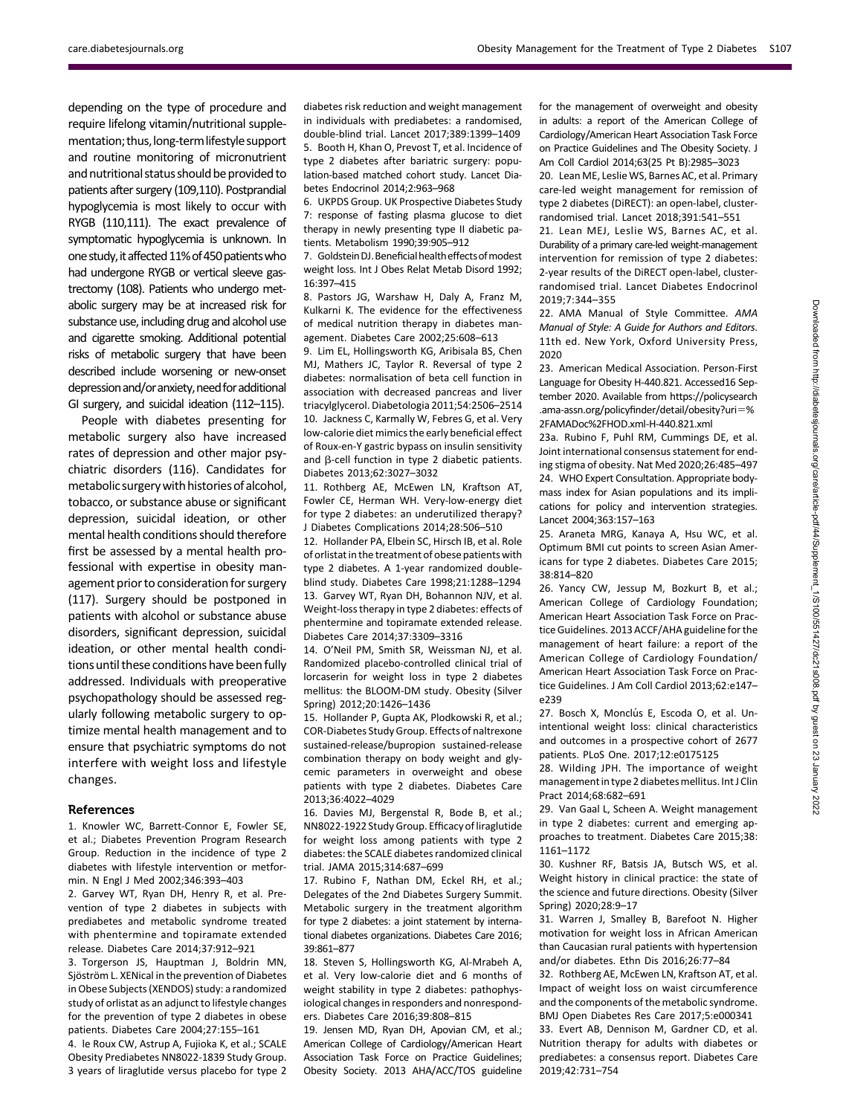depending on the type of procedure and require lifelong vitamin/nutritional supplementation; thus, long-term lifestyle support and routine monitoring of micronutrient and nutritional status should be provided to patients after surgery (109,110). Postprandial hypoglycemia is most likely to occur with RYGB (110,111). The exact prevalence of symptomatic hypoglycemia is unknown. In one study, it affected 11% of 450 patients who had undergone RYGB or vertical sleeve gastrectomy (108). Patients who undergo metabolic surgery may be at increased risk for substance use, including drug and alcohol use and cigarette smoking. Additional potential risks of metabolic surgery that have been described include worsening or new-onset depression and/or anxiety, need for additional GI surgery, and suicidal ideation (112–115).

People with diabetes presenting for metabolic surgery also have increased rates of depression and other major psychiatric disorders (116). Candidates for metabolic surgery with histories of alcohol, tobacco, or substance abuse or significant depression, suicidal ideation, or other mental health conditions should therefore first be assessed by a mental health professional with expertise in obesity management prior to consideration for surgery (117). Surgery should be postponed in patients with alcohol or substance abuse disorders, significant depression, suicidal ideation, or other mental health conditions until these conditions have been fully addressed. Individuals with preoperative psychopathology should be assessed regularly following metabolic surgery to optimize mental health management and to ensure that psychiatric symptoms do not interfere with weight loss and lifestyle changes.

#### References

1. Knowler WC, Barrett-Connor E, Fowler SE, et al.; Diabetes Prevention Program Research Group. Reduction in the incidence of type 2 diabetes with lifestyle intervention or metformin. N Engl J Med 2002;346:393–403

2. Garvey WT, Ryan DH, Henry R, et al. Prevention of type 2 diabetes in subjects with prediabetes and metabolic syndrome treated with phentermine and topiramate extended release. Diabetes Care 2014;37:912–921

3. Torgerson JS, Hauptman J, Boldrin MN, Sjöström L. XENical in the prevention of Diabetes in Obese Subjects (XENDOS) study: a randomized study of orlistat as an adjunct to lifestyle changes for the prevention of type 2 diabetes in obese patients. Diabetes Care 2004;27:155–161

4. le Roux CW, Astrup A, Fujioka K, et al.; SCALE Obesity Prediabetes NN8022-1839 Study Group. 3 years of liraglutide versus placebo for type 2

diabetes risk reduction and weight management in individuals with prediabetes: a randomised, double-blind trial. Lancet 2017;389:1399–1409 5. Booth H, Khan O, Prevost T, et al. Incidence of type 2 diabetes after bariatric surgery: population-based matched cohort study. Lancet Diabetes Endocrinol 2014;2:963–968

6. UKPDS Group. UK Prospective Diabetes Study 7: response of fasting plasma glucose to diet therapy in newly presenting type II diabetic patients. Metabolism 1990;39:905–912

7. GoldsteinDJ.Beneficial healtheffectsofmodest weight loss. Int J Obes Relat Metab Disord 1992; 16:397–415

8. Pastors JG, Warshaw H, Daly A, Franz M, Kulkarni K. The evidence for the effectiveness of medical nutrition therapy in diabetes management. Diabetes Care 2002;25:608–613

9. Lim EL, Hollingsworth KG, Aribisala BS, Chen MJ, Mathers JC, Taylor R. Reversal of type 2 diabetes: normalisation of beta cell function in association with decreased pancreas and liver triacylglycerol. Diabetologia 2011;54:2506–2514 10. Jackness C, Karmally W, Febres G, et al. Very low-calorie diet mimics the early beneficial effect of Roux-en-Y gastric bypass on insulin sensitivity and  $\beta$ -cell function in type 2 diabetic patients. Diabetes 2013;62:3027–3032

11. Rothberg AE, McEwen LN, Kraftson AT, Fowler CE, Herman WH. Very-low-energy diet for type 2 diabetes: an underutilized therapy? J Diabetes Complications 2014;28:506–510

12. Hollander PA, Elbein SC, Hirsch IB, et al. Role of orlistat in the treatment of obese patients with type 2 diabetes. A 1-year randomized doubleblind study. Diabetes Care 1998;21:1288–1294 13. Garvey WT, Ryan DH, Bohannon NJV, et al. Weight-loss therapy in type 2 diabetes: effects of phentermine and topiramate extended release. Diabetes Care 2014;37:3309–3316

14. O'Neil PM, Smith SR, Weissman NJ, et al. Randomized placebo-controlled clinical trial of lorcaserin for weight loss in type 2 diabetes mellitus: the BLOOM-DM study. Obesity (Silver Spring) 2012;20:1426–1436

15. Hollander P, Gupta AK, Plodkowski R, et al.; COR-Diabetes Study Group. Effects of naltrexone sustained-release/bupropion sustained-release combination therapy on body weight and glycemic parameters in overweight and obese patients with type 2 diabetes. Diabetes Care 2013;36:4022–4029

16. Davies MJ, Bergenstal R, Bode B, et al.; NN8022-1922 Study Group. Efficacy of liraglutide for weight loss among patients with type 2 diabetes: the SCALE diabetes randomized clinical trial. JAMA 2015;314:687–699

17. Rubino F, Nathan DM, Eckel RH, et al.; Delegates of the 2nd Diabetes Surgery Summit. Metabolic surgery in the treatment algorithm for type 2 diabetes: a joint statement by international diabetes organizations. Diabetes Care 2016; 39:861–877

18. Steven S, Hollingsworth KG, Al-Mrabeh A, et al. Very low-calorie diet and 6 months of weight stability in type 2 diabetes: pathophysiological changes in responders and nonresponders. Diabetes Care 2016;39:808–815

19. Jensen MD, Ryan DH, Apovian CM, et al.; American College of Cardiology/American Heart Association Task Force on Practice Guidelines; Obesity Society. 2013 AHA/ACC/TOS guideline

for the management of overweight and obesity in adults: a report of the American College of Cardiology/American Heart Association Task Force on Practice Guidelines and The Obesity Society. J Am Coll Cardiol 2014;63(25 Pt B):2985–3023

20. Lean ME, Leslie WS, Barnes AC, et al. Primary care-led weight management for remission of type 2 diabetes (DiRECT): an open-label, clusterrandomised trial. Lancet 2018;391:541–551

21. Lean MEJ, Leslie WS, Barnes AC, et al. Durability of a primary care-led weight-management intervention for remission of type 2 diabetes: 2-year results of the DiRECT open-label, clusterrandomised trial. Lancet Diabetes Endocrinol 2019;7:344–355

22. AMA Manual of Style Committee. AMA Manual of Style: A Guide for Authors and Editors. 11th ed. New York, Oxford University Press, 2020

23. American Medical Association. Person-First Language for Obesity H-440.821. Accessed16 September 2020. Available from [https://policysearch](https://policysearch.ama-assn.org/policyfinder/detail/obesity?uri=%2FAMADoc%2FHOD.xml-H-440.821.xml) .ama-assn.org/policyfi[nder/detail/obesity?uri](https://policysearch.ama-assn.org/policyfinder/detail/obesity?uri=%2FAMADoc%2FHOD.xml-H-440.821.xml)=% [2FAMADoc%2FHOD.xml-H-440.821.xml](https://policysearch.ama-assn.org/policyfinder/detail/obesity?uri=%2FAMADoc%2FHOD.xml-H-440.821.xml)

23a. Rubino F, Puhl RM, Cummings DE, et al. Joint international consensus statement for ending stigma of obesity. Nat Med 2020;26:485–497 24. WHO Expert Consultation. Appropriate bodymass index for Asian populations and its implications for policy and intervention strategies. Lancet 2004;363:157–163

25. Araneta MRG, Kanaya A, Hsu WC, et al. Optimum BMI cut points to screen Asian Americans for type 2 diabetes. Diabetes Care 2015; 38:814–820

26. Yancy CW, Jessup M, Bozkurt B, et al.; American College of Cardiology Foundation; American Heart Association Task Force on Practice Guidelines. 2013 ACCF/AHA guideline for the management of heart failure: a report of the American College of Cardiology Foundation/ American Heart Association Task Force on Practice Guidelines. J Am Coll Cardiol 2013;62:e147– e239

27. Bosch X, Monclús E, Escoda O, et al. Unintentional weight loss: clinical characteristics and outcomes in a prospective cohort of 2677 patients. PLoS One. 2017;12:e0175125

28. Wilding JPH. The importance of weight management in type 2 diabetesmellitus. Int J Clin Pract 2014;68:682–691

29. Van Gaal L, Scheen A. Weight management in type 2 diabetes: current and emerging approaches to treatment. Diabetes Care 2015;38: 1161–1172

30. Kushner RF, Batsis JA, Butsch WS, et al. Weight history in clinical practice: the state of the science and future directions. Obesity (Silver Spring) 2020;28:9–17

31. Warren J, Smalley B, Barefoot N. Higher motivation for weight loss in African American than Caucasian rural patients with hypertension and/or diabetes. Ethn Dis 2016;26:77–84

32. Rothberg AE, McEwen LN, Kraftson AT, et al. Impact of weight loss on waist circumference and the components of the metabolic syndrome. BMJ Open Diabetes Res Care 2017;5:e000341 33. Evert AB, Dennison M, Gardner CD, et al. Nutrition therapy for adults with diabetes or prediabetes: a consensus report. Diabetes Care 2019;42:731–754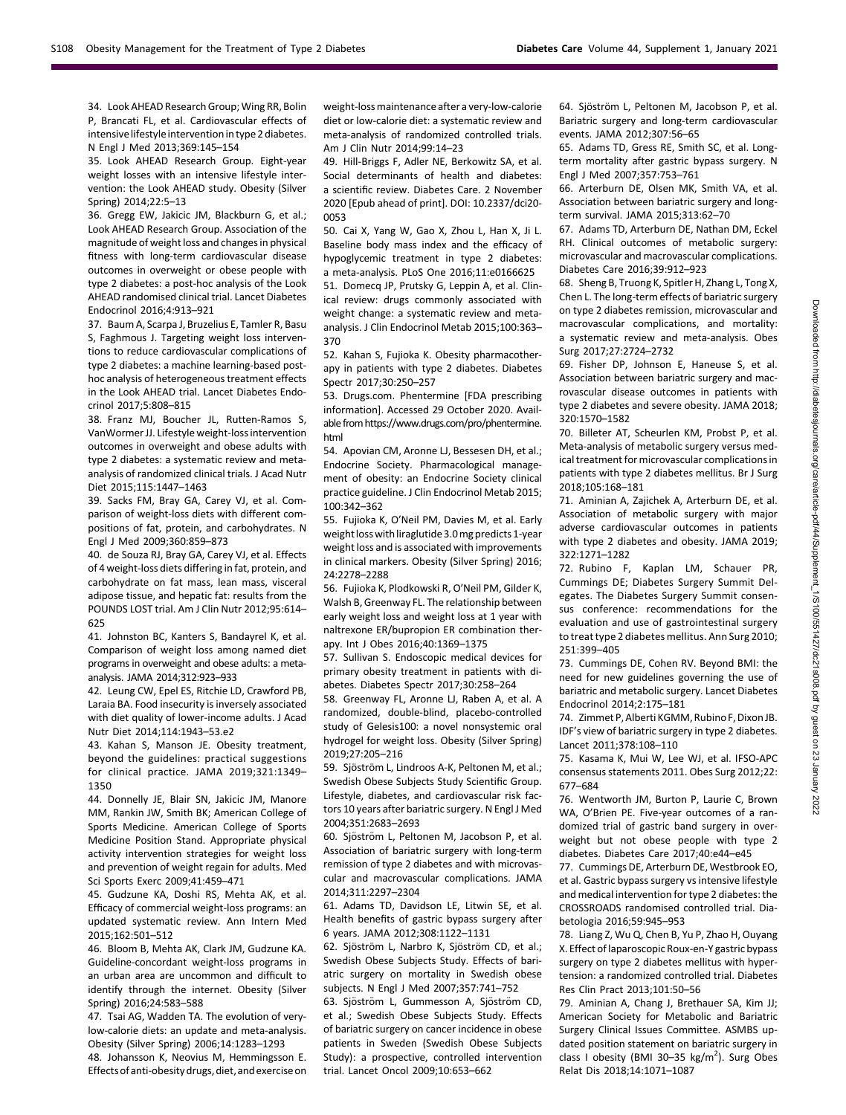34. Look AHEAD Research Group;Wing RR, Bolin P, Brancati FL, et al. Cardiovascular effects of intensive lifestyle intervention in type 2 diabetes. N Engl J Med 2013;369:145–154

35. Look AHEAD Research Group. Eight-year weight losses with an intensive lifestyle intervention: the Look AHEAD study. Obesity (Silver Spring) 2014;22:5–13

36. Gregg EW, Jakicic JM, Blackburn G, et al.; Look AHEAD Research Group. Association of the magnitude of weight loss and changes in physical fitness with long-term cardiovascular disease outcomes in overweight or obese people with type 2 diabetes: a post-hoc analysis of the Look AHEAD randomised clinical trial. Lancet Diabetes Endocrinol 2016;4:913–921

37. Baum A, Scarpa J, Bruzelius E, Tamler R, Basu S, Faghmous J. Targeting weight loss interventions to reduce cardiovascular complications of type 2 diabetes: a machine learning-based posthoc analysis of heterogeneous treatment effects in the Look AHEAD trial. Lancet Diabetes Endocrinol 2017;5:808–815

38. Franz MJ, Boucher JL, Rutten-Ramos S, VanWormer JJ. Lifestyle weight-loss intervention outcomes in overweight and obese adults with type 2 diabetes: a systematic review and metaanalysis of randomized clinical trials. J Acad Nutr Diet 2015;115:1447–1463

39. Sacks FM, Bray GA, Carey VJ, et al. Comparison of weight-loss diets with different compositions of fat, protein, and carbohydrates. N Engl J Med 2009;360:859–873

40. de Souza RJ, Bray GA, Carey VJ, et al. Effects of 4 weight-loss diets differing in fat, protein, and carbohydrate on fat mass, lean mass, visceral adipose tissue, and hepatic fat: results from the POUNDS LOST trial. Am J Clin Nutr 2012;95:614– 625

41. Johnston BC, Kanters S, Bandayrel K, et al. Comparison of weight loss among named diet programs in overweight and obese adults: a metaanalysis. JAMA 2014;312:923–933

42. Leung CW, Epel ES, Ritchie LD, Crawford PB, Laraia BA. Food insecurity is inversely associated with diet quality of lower-income adults. J Acad Nutr Diet 2014;114:1943–53.e2

43. Kahan S, Manson JE. Obesity treatment, beyond the guidelines: practical suggestions for clinical practice. JAMA 2019;321:1349– 1350

44. Donnelly JE, Blair SN, Jakicic JM, Manore MM, Rankin JW, Smith BK; American College of Sports Medicine. American College of Sports Medicine Position Stand. Appropriate physical activity intervention strategies for weight loss and prevention of weight regain for adults. Med Sci Sports Exerc 2009;41:459–471

45. Gudzune KA, Doshi RS, Mehta AK, et al. Efficacy of commercial weight-loss programs: an updated systematic review. Ann Intern Med 2015;162:501–512

46. Bloom B, Mehta AK, Clark JM, Gudzune KA. Guideline-concordant weight-loss programs in an urban area are uncommon and difficult to identify through the internet. Obesity (Silver Spring) 2016;24:583–588

47. Tsai AG, Wadden TA. The evolution of verylow-calorie diets: an update and meta-analysis. Obesity (Silver Spring) 2006;14:1283–1293

48. Johansson K, Neovius M, Hemmingsson E. Effects of anti-obesity drugs, diet, and exercise on

weight-loss maintenance after a very-low-calorie diet or low-calorie diet: a systematic review and meta-analysis of randomized controlled trials. Am J Clin Nutr 2014;99:14–23

49. Hill-Briggs F, Adler NE, Berkowitz SA, et al. Social determinants of health and diabetes: a scientific review. Diabetes Care. 2 November 2020 [Epub ahead of print]. DOI: 10.2337/dci20- 0053

50. Cai X, Yang W, Gao X, Zhou L, Han X, Ji L. Baseline body mass index and the efficacy of hypoglycemic treatment in type 2 diabetes: a meta-analysis. PLoS One 2016;11:e0166625 51. Domecq JP, Prutsky G, Leppin A, et al. Clinical review: drugs commonly associated with weight change: a systematic review and metaanalysis. J Clin Endocrinol Metab 2015;100:363– 370

52. Kahan S, Fujioka K. Obesity pharmacotherapy in patients with type 2 diabetes. Diabetes Spectr 2017;30:250–257

53. Drugs.com. Phentermine [FDA prescribing information]. Accessed 29 October 2020. Available from [https://www.drugs.com/pro/phentermine.](https://www.drugs.com/pro/phentermine.html) [html](https://www.drugs.com/pro/phentermine.html)

54. Apovian CM, Aronne LJ, Bessesen DH, et al.; Endocrine Society. Pharmacological management of obesity: an Endocrine Society clinical practice guideline. J Clin Endocrinol Metab 2015; 100:342–362

55. Fujioka K, O'Neil PM, Davies M, et al. Early weight loss with liraglutide 3.0mg predicts 1-year weight loss and is associated with improvements in clinical markers. Obesity (Silver Spring) 2016; 24:2278–2288

56. Fujioka K, Plodkowski R, O'Neil PM, Gilder K, Walsh B, Greenway FL. The relationship between early weight loss and weight loss at 1 year with naltrexone ER/bupropion ER combination therapy. Int J Obes 2016;40:1369–1375

57. Sullivan S. Endoscopic medical devices for primary obesity treatment in patients with diabetes. Diabetes Spectr 2017;30:258–264

58. Greenway FL, Aronne LJ, Raben A, et al. A randomized, double-blind, placebo-controlled study of Gelesis100: a novel nonsystemic oral hydrogel for weight loss. Obesity (Silver Spring) 2019;27:205–216

59. Sjöström L, Lindroos A-K, Peltonen M, et al.; Swedish Obese Subjects Study Scientific Group. Lifestyle, diabetes, and cardiovascular risk factors 10 years after bariatric surgery. N Engl J Med 2004;351:2683–2693

60. Sjöström L. Peltonen M. Jacobson P, et al. Association of bariatric surgery with long-term remission of type 2 diabetes and with microvascular and macrovascular complications. JAMA 2014;311:2297–2304

61. Adams TD, Davidson LE, Litwin SE, et al. Health benefits of gastric bypass surgery after 6 years. JAMA 2012;308:1122–1131

62. Sjöström L, Narbro K, Sjöström CD, et al.; Swedish Obese Subjects Study. Effects of bariatric surgery on mortality in Swedish obese subjects. N Engl J Med 2007;357:741–752

63. Sjöström L, Gummesson A, Sjöström CD, et al.; Swedish Obese Subjects Study. Effects of bariatric surgery on cancer incidence in obese patients in Sweden (Swedish Obese Subjects Study): a prospective, controlled intervention trial. Lancet Oncol 2009;10:653–662

64. Sjöström L, Peltonen M, Jacobson P, et al. Bariatric surgery and long-term cardiovascular events. JAMA 2012;307:56–65

65. Adams TD, Gress RE, Smith SC, et al. Longterm mortality after gastric bypass surgery. N Engl J Med 2007;357:753–761

66. Arterburn DE, Olsen MK, Smith VA, et al. Association between bariatric surgery and longterm survival. JAMA 2015;313:62–70

67. Adams TD, Arterburn DE, Nathan DM, Eckel RH. Clinical outcomes of metabolic surgery: microvascular and macrovascular complications. Diabetes Care 2016;39:912–923

68. Sheng B, Truong K, Spitler H, Zhang L, Tong X, Chen L. The long-term effects of bariatric surgery on type 2 diabetes remission, microvascular and macrovascular complications, and mortality: a systematic review and meta-analysis. Obes Surg 2017;27:2724–2732

69. Fisher DP, Johnson E, Haneuse S, et al. Association between bariatric surgery and macrovascular disease outcomes in patients with type 2 diabetes and severe obesity. JAMA 2018; 320:1570–1582

70. Billeter AT, Scheurlen KM, Probst P, et al. Meta-analysis of metabolic surgery versus medical treatment for microvascular complications in patients with type 2 diabetes mellitus. Br J Surg 2018;105:168–181

71. Aminian A, Zajichek A, Arterburn DE, et al. Association of metabolic surgery with major adverse cardiovascular outcomes in patients with type 2 diabetes and obesity. JAMA 2019; 322:1271–1282

72. Rubino F, Kaplan LM, Schauer PR, Cummings DE; Diabetes Surgery Summit Delegates. The Diabetes Surgery Summit consensus conference: recommendations for the evaluation and use of gastrointestinal surgery to treat type 2 diabetes mellitus. Ann Surg 2010; 251:399–405

73. Cummings DE, Cohen RV. Beyond BMI: the need for new guidelines governing the use of bariatric and metabolic surgery. Lancet Diabetes Endocrinol 2014;2:175–181

74. Zimmet P, Alberti KGMM, Rubino F, Dixon JB. IDF's view of bariatric surgery in type 2 diabetes. Lancet 2011;378:108–110

75. Kasama K, Mui W, Lee WJ, et al. IFSO-APC consensus statements 2011. Obes Surg 2012;22: 677–684

76. Wentworth JM, Burton P, Laurie C, Brown WA, O'Brien PE. Five-year outcomes of a randomized trial of gastric band surgery in overweight but not obese people with type 2 diabetes. Diabetes Care 2017;40:e44–e45

77. Cummings DE, Arterburn DE, Westbrook EO, et al. Gastric bypass surgery vs intensive lifestyle and medical intervention for type 2 diabetes: the CROSSROADS randomised controlled trial. Diabetologia 2016;59:945–953

78. Liang Z, Wu Q, Chen B, Yu P, Zhao H, Ouyang X. Effect of laparoscopic Roux-en-Y gastric bypass surgery on type 2 diabetes mellitus with hypertension: a randomized controlled trial. Diabetes Res Clin Pract 2013;101:50–56

79. Aminian A, Chang J, Brethauer SA, Kim JJ; American Society for Metabolic and Bariatric Surgery Clinical Issues Committee. ASMBS updated position statement on bariatric surgery in class I obesity (BMI 30-35 kg/m<sup>2</sup>). Surg Obes Relat Dis 2018;14:1071–1087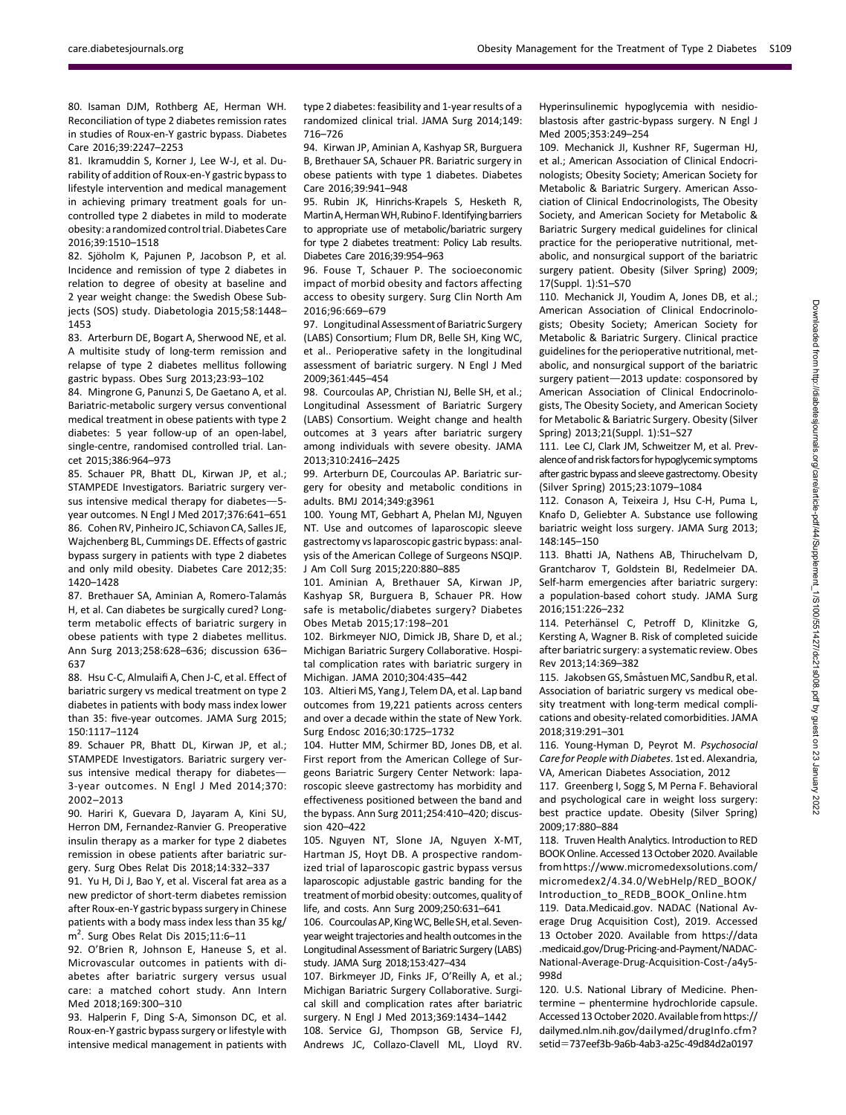80. Isaman DJM, Rothberg AE, Herman WH. Reconciliation of type 2 diabetes remission rates in studies of Roux-en-Y gastric bypass. Diabetes Care 2016;39:2247–2253

81. Ikramuddin S, Korner J, Lee W-J, et al. Durability of addition of Roux-en-Y gastric bypass to lifestyle intervention and medical management in achieving primary treatment goals for uncontrolled type 2 diabetes in mild to moderate obesity: a randomized control trial.Diabetes Care 2016;39:1510–1518

82. Sjöholm K, Pajunen P, Jacobson P, et al. Incidence and remission of type 2 diabetes in relation to degree of obesity at baseline and 2 year weight change: the Swedish Obese Subjects (SOS) study. Diabetologia 2015;58:1448– 1453

83. Arterburn DE, Bogart A, Sherwood NE, et al. A multisite study of long-term remission and relapse of type 2 diabetes mellitus following gastric bypass. Obes Surg 2013;23:93–102

84. Mingrone G, Panunzi S, De Gaetano A, et al. Bariatric-metabolic surgery versus conventional medical treatment in obese patients with type 2 diabetes: 5 year follow-up of an open-label, single-centre, randomised controlled trial. Lancet 2015;386:964–973

85. Schauer PR, Bhatt DL, Kirwan JP, et al.; STAMPEDE Investigators. Bariatric surgery versus intensive medical therapy for diabetes-5year outcomes. N Engl J Med 2017;376:641–651 86. Cohen RV, Pinheiro JC, Schiavon CA, Salles JE, Wajchenberg BL, Cummings DE. Effects of gastric bypass surgery in patients with type 2 diabetes and only mild obesity. Diabetes Care 2012;35: 1420–1428

87. Brethauer SA, Aminian A, Romero-Talamás H, et al. Can diabetes be surgically cured? Longterm metabolic effects of bariatric surgery in obese patients with type 2 diabetes mellitus. Ann Surg 2013;258:628–636; discussion 636– 637

88. Hsu C-C, Almulaifi A, Chen J-C, et al. Effect of bariatric surgery vs medical treatment on type 2 diabetes in patients with body mass index lower than 35: five-year outcomes. JAMA Surg 2015; 150:1117–1124

89. Schauer PR, Bhatt DL, Kirwan JP, et al.; STAMPEDE Investigators. Bariatric surgery versus intensive medical therapy for diabetes-3-year outcomes. N Engl J Med 2014;370: 2002–2013

90. Hariri K, Guevara D, Jayaram A, Kini SU, Herron DM, Fernandez-Ranvier G. Preoperative insulin therapy as a marker for type 2 diabetes remission in obese patients after bariatric surgery. Surg Obes Relat Dis 2018;14:332–337

91. Yu H, Di J, Bao Y, et al. Visceral fat area as a new predictor of short-term diabetes remission after Roux-en-Y gastric bypass surgery in Chinese patients with a body mass index less than 35 kg/ m<sup>2</sup>. Surg Obes Relat Dis 2015;11:6-11

92. O'Brien R, Johnson E, Haneuse S, et al. Microvascular outcomes in patients with diabetes after bariatric surgery versus usual care: a matched cohort study. Ann Intern Med 2018;169:300–310

93. Halperin F, Ding S-A, Simonson DC, et al. Roux-en-Y gastric bypass surgery or lifestyle with intensive medical management in patients with

type 2 diabetes: feasibility and 1-year results of a randomized clinical trial. JAMA Surg 2014;149: 716–726

94. Kirwan JP, Aminian A, Kashyap SR, Burguera B, Brethauer SA, Schauer PR. Bariatric surgery in obese patients with type 1 diabetes. Diabetes Care 2016;39:941–948

95. Rubin JK, Hinrichs-Krapels S, Hesketh R, Martin A, Herman WH, Rubino F. Identifying barriers to appropriate use of metabolic/bariatric surgery for type 2 diabetes treatment: Policy Lab results. Diabetes Care 2016;39:954–963

96. Fouse T, Schauer P. The socioeconomic impact of morbid obesity and factors affecting access to obesity surgery. Surg Clin North Am 2016;96:669–679

97. Longitudinal Assessment of Bariatric Surgery (LABS) Consortium; Flum DR, Belle SH, King WC, et al.. Perioperative safety in the longitudinal assessment of bariatric surgery. N Engl J Med 2009;361:445–454

98. Courcoulas AP, Christian NJ, Belle SH, et al.; Longitudinal Assessment of Bariatric Surgery (LABS) Consortium. Weight change and health outcomes at 3 years after bariatric surgery among individuals with severe obesity. JAMA 2013;310:2416–2425

99. Arterburn DE, Courcoulas AP. Bariatric surgery for obesity and metabolic conditions in adults. BMJ 2014;349:g3961

100. Young MT, Gebhart A, Phelan MJ, Nguyen NT. Use and outcomes of laparoscopic sleeve gastrectomy vs laparoscopic gastric bypass: analysis of the American College of Surgeons NSQIP. J Am Coll Surg 2015;220:880–885

101. Aminian A, Brethauer SA, Kirwan JP, Kashyap SR, Burguera B, Schauer PR. How safe is metabolic/diabetes surgery? Diabetes Obes Metab 2015;17:198–201

102. Birkmeyer NJO, Dimick JB, Share D, et al.; Michigan Bariatric Surgery Collaborative. Hospital complication rates with bariatric surgery in Michigan. JAMA 2010;304:435–442

103. Altieri MS, Yang J, Telem DA, et al. Lap band outcomes from 19,221 patients across centers and over a decade within the state of New York. Surg Endosc 2016;30:1725–1732

104. Hutter MM, Schirmer BD, Jones DB, et al. First report from the American College of Surgeons Bariatric Surgery Center Network: laparoscopic sleeve gastrectomy has morbidity and effectiveness positioned between the band and the bypass. Ann Surg 2011;254:410–420; discussion 420–422

105. Nguyen NT, Slone JA, Nguyen X-MT, Hartman JS, Hoyt DB. A prospective randomized trial of laparoscopic gastric bypass versus laparoscopic adjustable gastric banding for the treatment of morbid obesity: outcomes, quality of life, and costs. Ann Surg 2009;250:631–641

106. Courcoulas AP, King WC, Belle SH, et al. Sevenyear weight trajectories and health outcomes in the Longitudinal Assessment of Bariatric Surgery (LABS) study. JAMA Surg 2018;153:427–434

107. Birkmeyer JD, Finks JF, O'Reilly A, et al.; Michigan Bariatric Surgery Collaborative. Surgical skill and complication rates after bariatric surgery. N Engl J Med 2013;369:1434–1442

108. Service GJ, Thompson GB, Service FJ, Andrews JC, Collazo-Clavell ML, Lloyd RV. Hyperinsulinemic hypoglycemia with nesidioblastosis after gastric-bypass surgery. N Engl J Med 2005;353:249–254

109. Mechanick JI, Kushner RF, Sugerman HJ, et al.; American Association of Clinical Endocrinologists; Obesity Society; American Society for Metabolic & Bariatric Surgery. American Association of Clinical Endocrinologists, The Obesity Society, and American Society for Metabolic & Bariatric Surgery medical guidelines for clinical practice for the perioperative nutritional, metabolic, and nonsurgical support of the bariatric surgery patient. Obesity (Silver Spring) 2009; 17(Suppl. 1):S1–S70

110. Mechanick JI, Youdim A, Jones DB, et al.; American Association of Clinical Endocrinologists; Obesity Society; American Society for Metabolic & Bariatric Surgery. Clinical practice guidelines for the perioperative nutritional, metabolic, and nonsurgical support of the bariatric surgery patient-2013 update: cosponsored by American Association of Clinical Endocrinologists, The Obesity Society, and American Society for Metabolic & Bariatric Surgery. Obesity (Silver Spring) 2013;21(Suppl. 1):S1–S27

111. Lee CJ, Clark JM, Schweitzer M, et al. Prevalence of and risk factors for hypoglycemic symptoms after gastric bypass and sleeve gastrectomy. Obesity (Silver Spring) 2015;23:1079–1084

112. Conason A, Teixeira J, Hsu C-H, Puma L, Knafo D, Geliebter A. Substance use following bariatric weight loss surgery. JAMA Surg 2013; 148:145–150

113. Bhatti JA, Nathens AB, Thiruchelvam D, Grantcharov T, Goldstein BI, Redelmeier DA. Self-harm emergencies after bariatric surgery: a population-based cohort study. JAMA Surg 2016;151:226–232

114. Peterhänsel C, Petroff D, Klinitzke G, Kersting A, Wagner B. Risk of completed suicide after bariatric surgery: a systematic review. Obes Rev 2013;14:369–382

115. Jakobsen GS, Småstuen MC, Sandbu R, et al. Association of bariatric surgery vs medical obesity treatment with long-term medical complications and obesity-related comorbidities. JAMA 2018;319:291–301

116. Young-Hyman D, Peyrot M. Psychosocial Care for People with Diabetes. 1st ed. Alexandria, VA, American Diabetes Association, 2012

117. Greenberg I, Sogg S, M Perna F. Behavioral and psychological care in weight loss surgery: best practice update. Obesity (Silver Spring) 2009;17:880–884

118. Truven Health Analytics. Introduction to RED BOOK Online. Accessed 13 October 2020. Available from [https://www.micromedexsolutions.com/](https://www.micromedexsolutions.com/micromedex2/4.34.0/WebHelp/RED_BOOK/Introduction_to_REDB_BOOK_Online.htm) [micromedex2/4.34.0/WebHelp/RED\\_BOOK/](https://www.micromedexsolutions.com/micromedex2/4.34.0/WebHelp/RED_BOOK/Introduction_to_REDB_BOOK_Online.htm) [Introduction\\_to\\_REDB\\_BOOK\\_Online.htm](https://www.micromedexsolutions.com/micromedex2/4.34.0/WebHelp/RED_BOOK/Introduction_to_REDB_BOOK_Online.htm)

119. Data.Medicaid.gov. NADAC (National Average Drug Acquisition Cost), 2019. Accessed 13 October 2020. Available from [https://data](https://data.medicaid.gov/Drug-Pricing-and-Payment/NADAC-National-Average-Drug-Acquisition-Cost-/a4y5-998d) [.medicaid.gov/Drug-Pricing-and-Payment/NADAC-](https://data.medicaid.gov/Drug-Pricing-and-Payment/NADAC-National-Average-Drug-Acquisition-Cost-/a4y5-998d)[National-Average-Drug-Acquisition-Cost-/a4y5-](https://data.medicaid.gov/Drug-Pricing-and-Payment/NADAC-National-Average-Drug-Acquisition-Cost-/a4y5-998d) [998d](https://data.medicaid.gov/Drug-Pricing-and-Payment/NADAC-National-Average-Drug-Acquisition-Cost-/a4y5-998d)

120. U.S. National Library of Medicine. Phentermine – phentermine hydrochloride capsule. Accessed 13 October 2020. Available from [https://](https://dailymed.nlm.nih.gov/dailymed/drugInfo.cfm?setid=737eef3b-9a6b-4ab3-a25c-49d84d2a0197) [dailymed.nlm.nih.gov/dailymed/drugInfo.cfm?](https://dailymed.nlm.nih.gov/dailymed/drugInfo.cfm?setid=737eef3b-9a6b-4ab3-a25c-49d84d2a0197) setid5[737eef3b-9a6b-4ab3-a25c-49d84d2a0197](https://dailymed.nlm.nih.gov/dailymed/drugInfo.cfm?setid=737eef3b-9a6b-4ab3-a25c-49d84d2a0197)